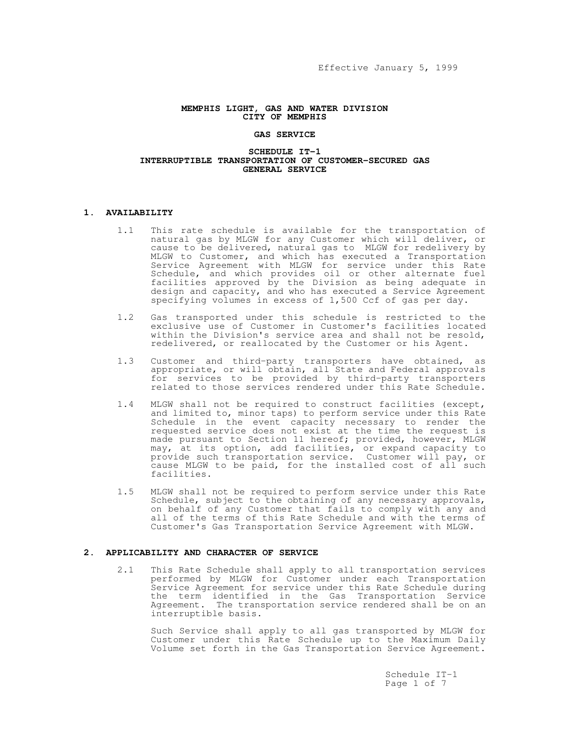## **MEMPHIS LIGHT, GAS AND WATER DIVISION CITY OF MEMPHIS**

### **GAS SERVICE**

#### **SCHEDULE IT-1 INTERRUPTIBLE TRANSPORTATION OF CUSTOMER-SECURED GAS GENERAL SERVICE**

# **1. AVAILABILITY**

- 1.1 This rate schedule is available for the transportation of natural gas by MLGW for any Customer which will deliver, or cause to be delivered, natural gas to MLGW for redelivery by MLGW to Customer, and which has executed a Transportation Service Agreement with MLGW for service under this Rate Schedule, and which provides oil or other alternate fuel facilities approved by the Division as being adequate in design and capacity, and who has executed a Service Agreement specifying volumes in excess of 1,500 Ccf of gas per day.
- 1.2 Gas transported under this schedule is restricted to the exclusive use of Customer in Customer's facilities located within the Division's service area and shall not be resold, redelivered, or reallocated by the Customer or his Agent.
- 1.3 Customer and third-party transporters have obtained, as appropriate, or will obtain, all State and Federal approvals for services to be provided by third-party transporters related to those services rendered under this Rate Schedule.
- 1.4 MLGW shall not be required to construct facilities (except, and limited to, minor taps) to perform service under this Rate Schedule in the event capacity necessary to render the requested service does not exist at the time the request is made pursuant to Section 11 hereof; provided, however, MLGW may, at its option, add facilities, or expand capacity to provide such transportation service. Customer will pay, or cause MLGW to be paid, for the installed cost of all such facilities.
- 1.5 MLGW shall not be required to perform service under this Rate Schedule, subject to the obtaining of any necessary approvals, on behalf of any Customer that fails to comply with any and all of the terms of this Rate Schedule and with the terms of Customer's Gas Transportation Service Agreement with MLGW.

#### **2. APPLICABILITY AND CHARACTER OF SERVICE**

2.1 This Rate Schedule shall apply to all transportation services performed by MLGW for Customer under each Transportation Service Agreement for service under this Rate Schedule during the term identified in the Gas Transportation Service Agreement. The transportation service rendered shall be on an interruptible basis.

Such Service shall apply to all gas transported by MLGW for Customer under this Rate Schedule up to the Maximum Daily Volume set forth in the Gas Transportation Service Agreement.

> Schedule IT-1 Page 1 of 7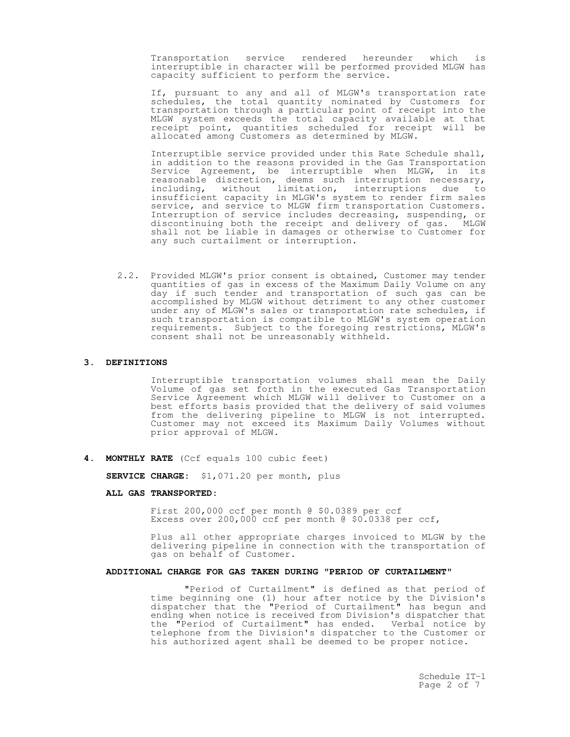Transportation service rendered hereunder which is interruptible in character will be performed provided MLGW has capacity sufficient to perform the service.

If, pursuant to any and all of MLGW's transportation rate schedules, the total quantity nominated by Customers for transportation through a particular point of receipt into the MLGW system exceeds the total capacity available at that receipt point, quantities scheduled for receipt will be allocated among Customers as determined by MLGW.

Interruptible service provided under this Rate Schedule shall, in addition to the reasons provided in the Gas Transportation Service Agreement, be interruptible when MLGW, in its reasonable discretion, deems such interruption necessary, including, without limitation, interruptions due to insufficient capacity in MLGW's system to render firm sales service, and service to MLGW firm transportation Customers. Interruption of service includes decreasing, suspending, or discontinuing both the receipt and delivery of gas. MLGW shall not be liable in damages or otherwise to Customer for any such curtailment or interruption**.**

2.2. Provided MLGW's prior consent is obtained, Customer may tender quantities of gas in excess of the Maximum Daily Volume on any day if such tender and transportation of such gas can be accomplished by MLGW without detriment to any other customer under any of MLGW's sales or transportation rate schedules, if such transportation is compatible to MLGW's system operation requirements. Subject to the foregoing restrictions, MLGW's consent shall not be unreasonably withheld.

# **3. DEFINITIONS**

Interruptible transportation volumes shall mean the Daily Volume of gas set forth in the executed Gas Transportation Service Agreement which MLGW will deliver to Customer on a best efforts basis provided that the delivery of said volumes from the delivering pipeline to MLGW is not interrupted. Customer may not exceed its Maximum Daily Volumes without prior approval of MLGW.

**4. MONTHLY RATE** (Ccf equals 100 cubic feet)

**SERVICE CHARGE:** \$1,071.20 per month, plus

#### **ALL GAS TRANSPORTED:**

First 200,000 ccf per month @ \$0.0389 per ccf Excess over 200,000 ccf per month @ \$0.0338 per ccf,

Plus all other appropriate charges invoiced to MLGW by the delivering pipeline in connection with the transportation of gas on behalf of Customer.

### **ADDITIONAL CHARGE FOR GAS TAKEN DURING "PERIOD OF CURTAILMENT"**

"Period of Curtailment" is defined as that period of time beginning one (1) hour after notice by the Division's dispatcher that the "Period of Curtailment" has begun and ending when notice is received from Division's dispatcher that the "Period of Curtailment" has ended. Verbal notice by telephone from the Division's dispatcher to the Customer or his authorized agent shall be deemed to be proper notice.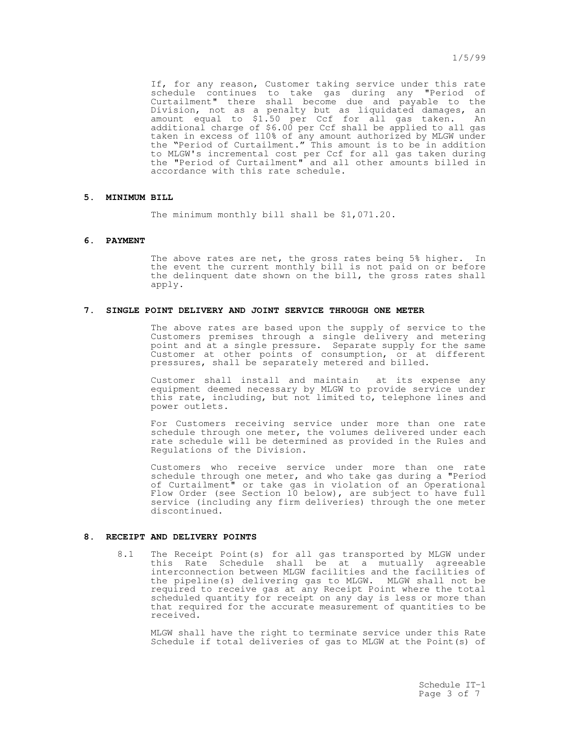If, for any reason, Customer taking service under this rate schedule continues to take gas during any "Period of Curtailment" there shall become due and payable to the Division, not as a penalty but as liquidated damages, an amount equal to \$1.50 per Ccf for all gas taken. An additional charge of \$6.00 per Ccf shall be applied to all gas taken in excess of 110% of any amount authorized by MLGW under the "Period of Curtailment." This amount is to be in addition to MLGW's incremental cost per Ccf for all gas taken during the "Period of Curtailment" and all other amounts billed in accordance with this rate schedule.

# **5. MINIMUM BILL**

The minimum monthly bill shall be \$1,071.20.

### **6. PAYMENT**

The above rates are net, the gross rates being 5% higher. In the event the current monthly bill is not paid on or before the delinquent date shown on the bill, the gross rates shall apply.

### **7. SINGLE POINT DELIVERY AND JOINT SERVICE THROUGH ONE METER**

The above rates are based upon the supply of service to the Customers premises through a single delivery and metering point and at a single pressure. Separate supply for the same Customer at other points of consumption, or at different pressures, shall be separately metered and billed.

Customer shall install and maintain at its expense any equipment deemed necessary by MLGW to provide service under this rate, including, but not limited to, telephone lines and power outlets.

For Customers receiving service under more than one rate schedule through one meter, the volumes delivered under each rate schedule will be determined as provided in the Rules and Regulations of the Division.

Customers who receive service under more than one rate schedule through one meter, and who take gas during a "Period of Curtailment" or take gas in violation of an Operational Flow Order (see Section 10 below), are subject to have full service (including any firm deliveries) through the one meter discontinued.

# **8. RECEIPT AND DELIVERY POINTS**

8.1 The Receipt Point(s) for all gas transported by MLGW under this Rate Schedule shall be at a mutually agreeable interconnection between MLGW facilities and the facilities of the pipeline(s) delivering gas to MLGW. MLGW shall not be required to receive gas at any Receipt Point where the total scheduled quantity for receipt on any day is less or more than that required for the accurate measurement of quantities to be received.

MLGW shall have the right to terminate service under this Rate Schedule if total deliveries of gas to MLGW at the Point(s) of

> Schedule IT-1 Page 3 of 7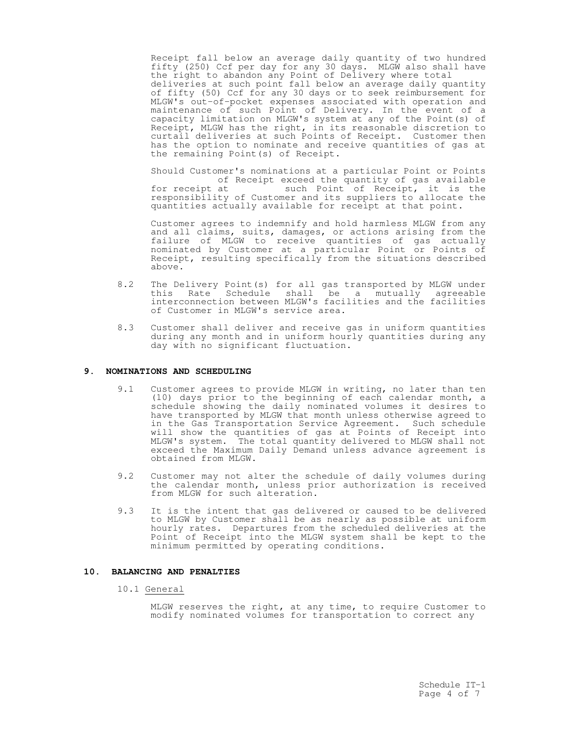Receipt fall below an average daily quantity of two hundred fifty  $(250)$  Ccf per day for any 30 days. MLGW also shall have the right to abandon any Point of Delivery where total deliveries at such point fall below an average daily quantity of fifty (50) Ccf for any 30 days or to seek reimbursement for MLGW's out-of-pocket expenses associated with operation and maintenance of such Point of Delivery. In the event of a capacity limitation on MLGW's system at any of the Point(s) of Receipt, MLGW has the right, in its reasonable discretion to curtail deliveries at such Points of Receipt. Customer then has the option to nominate and receive quantities of gas at the remaining Point(s) of Receipt.

Should Customer's nominations at a particular Point or Points of Receipt exceed the quantity of gas available<br>for receipt at such Point of Receipt, it is the such Point of Receipt, it is the responsibility of Customer and its suppliers to allocate the quantities actually available for receipt at that point.

Customer agrees to indemnify and hold harmless MLGW from any and all claims, suits, damages, or actions arising from the failure of MLGW to receive quantities of gas actually nominated by Customer at a particular Point or Points of Receipt, resulting specifically from the situations described above.

- 8.2 The Delivery Point(s) for all gas transported by MLGW under this Rate Schedule shall be a mutually agreeable interconnection between MLGW's facilities and the facilities of Customer in MLGW's service area.
- 8.3 Customer shall deliver and receive gas in uniform quantities during any month and in uniform hourly quantities during any day with no significant fluctuation.

## **9. NOMINATIONS AND SCHEDULING**

- 9.1 Customer agrees to provide MLGW in writing, no later than ten (10) days prior to the beginning of each calendar month, a schedule showing the daily nominated volumes it desires to have transported by MLGW that month unless otherwise agreed to in the Gas Transportation Service Agreement. Such schedule will show the quantities of gas at Points of Receipt into MLGW's system. The total quantity delivered to MLGW shall not exceed the Maximum Daily Demand unless advance agreement is obtained from MLGW.
- 9.2 Customer may not alter the schedule of daily volumes during the calendar month, unless prior authorization is received from MLGW for such alteration.
- 9.3 It is the intent that gas delivered or caused to be delivered to MLGW by Customer shall be as nearly as possible at uniform hourly rates. Departures from the scheduled deliveries at the Point of Receipt into the MLGW system shall be kept to the minimum permitted by operating conditions.

# **10. BALANCING AND PENALTIES**

## 10.1 General

MLGW reserves the right, at any time, to require Customer to modify nominated volumes for transportation to correct any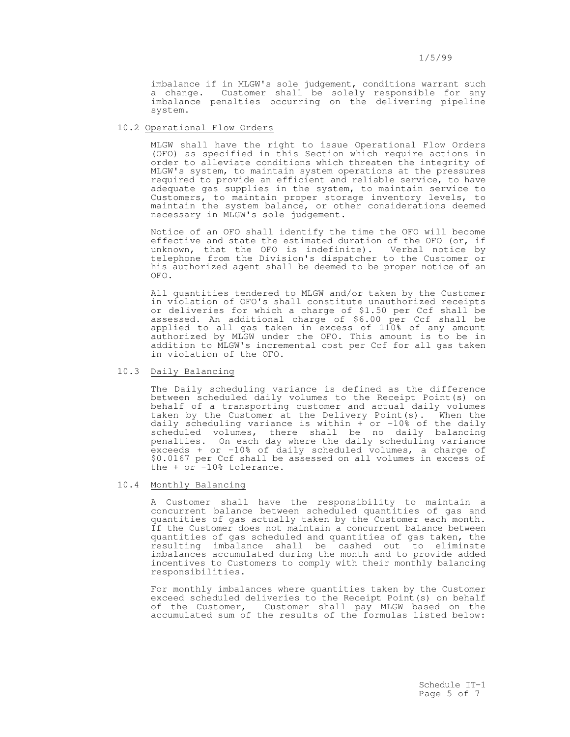imbalance if in MLGW's sole judgement, conditions warrant such a change. Customer shall be solely responsible for any imbalance penalties occurring on the delivering pipeline system.

# 10.2 Operational Flow Orders

MLGW shall have the right to issue Operational Flow Orders (OFO) as specified in this Section which require actions in order to alleviate conditions which threaten the integrity of MLGW's system, to maintain system operations at the pressures required to provide an efficient and reliable service, to have adequate gas supplies in the system, to maintain service to Customers, to maintain proper storage inventory levels, to maintain the system balance, or other considerations deemed necessary in MLGW's sole judgement.

Notice of an OFO shall identify the time the OFO will become effective and state the estimated duration of the OFO (or, if unknown, that the OFO is indefinite). Verbal notice by telephone from the Division's dispatcher to the Customer or his authorized agent shall be deemed to be proper notice of an OFO.

All quantities tendered to MLGW and/or taken by the Customer in violation of OFO's shall constitute unauthorized receipts or deliveries for which a charge of \$1.50 per Ccf shall be assessed. An additional charge of \$6.00 per Ccf shall be applied to all gas taken in excess of 110% of any amount authorized by MLGW under the OFO. This amount is to be in addition to MLGW's incremental cost per Ccf for all gas taken in violation of the OFO.

## 10.3 Daily Balancing

The Daily scheduling variance is defined as the difference between scheduled daily volumes to the Receipt Point(s) on behalf of a transporting customer and actual daily volumes taken by the Customer at the Delivery Point(s). When the daily scheduling variance is within  $+$  or -10% of the daily scheduled volumes, there shall be no daily balancing penalties. On each day where the daily scheduling variance exceeds + or -10% of daily scheduled volumes, a charge of \$0.0167 per Ccf shall be assessed on all volumes in excess of the + or -10% tolerance.

#### 10.4 Monthly Balancing

A Customer shall have the responsibility to maintain a concurrent balance between scheduled quantities of gas and quantities of gas actually taken by the Customer each month. If the Customer does not maintain a concurrent balance between quantities of gas scheduled and quantities of gas taken, the resulting imbalance shall be cashed out to eliminate imbalances accumulated during the month and to provide added incentives to Customers to comply with their monthly balancing responsibilities.

For monthly imbalances where quantities taken by the Customer exceed scheduled deliveries to the Receipt Point(s) on behalf of the Customer, Customer shall pay MLGW based on the accumulated sum of the results of the formulas listed below: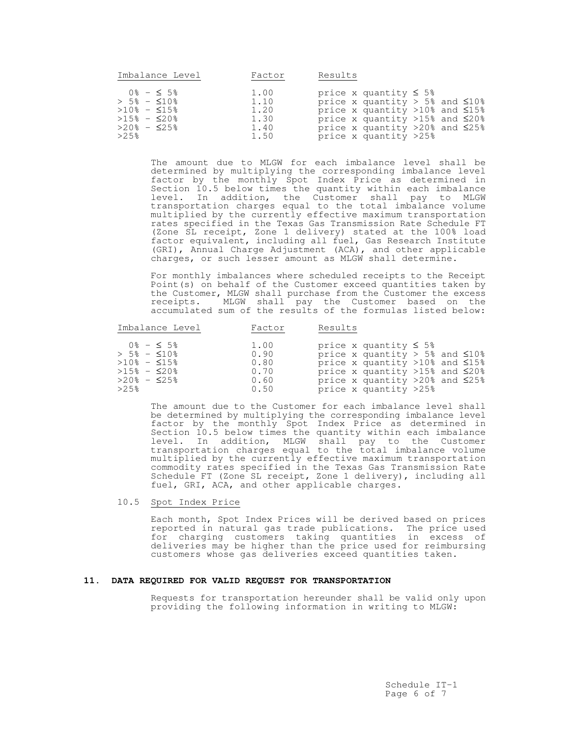| Imbalance Level                                                                                   | Factor                               | Results                                                                                                                                                                                 |
|---------------------------------------------------------------------------------------------------|--------------------------------------|-----------------------------------------------------------------------------------------------------------------------------------------------------------------------------------------|
| $0\% - 5\%$<br>$> 5\% - 510\%$<br>$>10$ % - $\leq 15$ %<br>$>15\% - \leq 20\%$<br>$>20\% - 525\%$ | 1.00<br>1.10<br>1.20<br>1.30<br>1.40 | price x quantity $\leq 5\%$<br>price x quantity > 5% and $\leq 10\%$<br>price x quantity >10% and $\leq 15$ %<br>price x quantity >15% and ≤20%<br>price x quantity >20% and $\leq$ 25% |
| >2.5%                                                                                             | 1.50                                 | price x quantity >25%                                                                                                                                                                   |

The amount due to MLGW for each imbalance level shall be determined by multiplying the corresponding imbalance level factor by the monthly Spot Index Price as determined in Section 10.5 below times the quantity within each imbalance level. In addition, the Customer shall pay to MLGW transportation charges equal to the total imbalance volume multiplied by the currently effective maximum transportation rates specified in the Texas Gas Transmission Rate Schedule FT (Zone SL receipt, Zone 1 delivery) stated at the 100% load factor equivalent, including all fuel, Gas Research Institute (GRI), Annual Charge Adjustment (ACA), and other applicable charges, or such lesser amount as MLGW shall determine.

For monthly imbalances where scheduled receipts to the Receipt Point(s) on behalf of the Customer exceed quantities taken by the Customer, MLGW shall purchase from the Customer the excess receipts. MLGW shall pay the Customer based on the accumulated sum of the results of the formulas listed below:

| 1.00<br>$0\% - 5\%$<br>price x quantity $\leq 5\%$<br>$> 5\% - 510\%$<br>price x quantity > 5% and $\leq 10\%$<br>0.90                                                                                                                                |  |
|-------------------------------------------------------------------------------------------------------------------------------------------------------------------------------------------------------------------------------------------------------|--|
| $>10$ % - $\leq 15$ %<br>price x quantity >10% and ≤15%<br>0.80<br>$>15$ % - $\leq$ 20%<br>price x quantity >15% and $\leq 20\%$<br>0.70<br>$>20\% - 525\%$<br>price x quantity >20% and $\leq$ 25%<br>0.60<br>>2.5%<br>price x quantity >25%<br>0.50 |  |

The amount due to the Customer for each imbalance level shall be determined by multiplying the corresponding imbalance level factor by the monthly Spot Index Price as determined in Section 10.5 below times the quantity within each imbalance level. In addition, MLGW shall pay to the Customer transportation charges equal to the total imbalance volume multiplied by the currently effective maximum transportation commodity rates specified in the Texas Gas Transmission Rate Schedule FT (Zone SL receipt, Zone 1 delivery), including all fuel, GRI, ACA, and other applicable charges.

10.5 Spot Index Price

Each month, Spot Index Prices will be derived based on prices reported in natural gas trade publications. The price used for charging customers taking quantities in excess of deliveries may be higher than the price used for reimbursing customers whose gas deliveries exceed quantities taken.

### **11. DATA REQUIRED FOR VALID REQUEST FOR TRANSPORTATION**

Requests for transportation hereunder shall be valid only upon providing the following information in writing to MLGW: